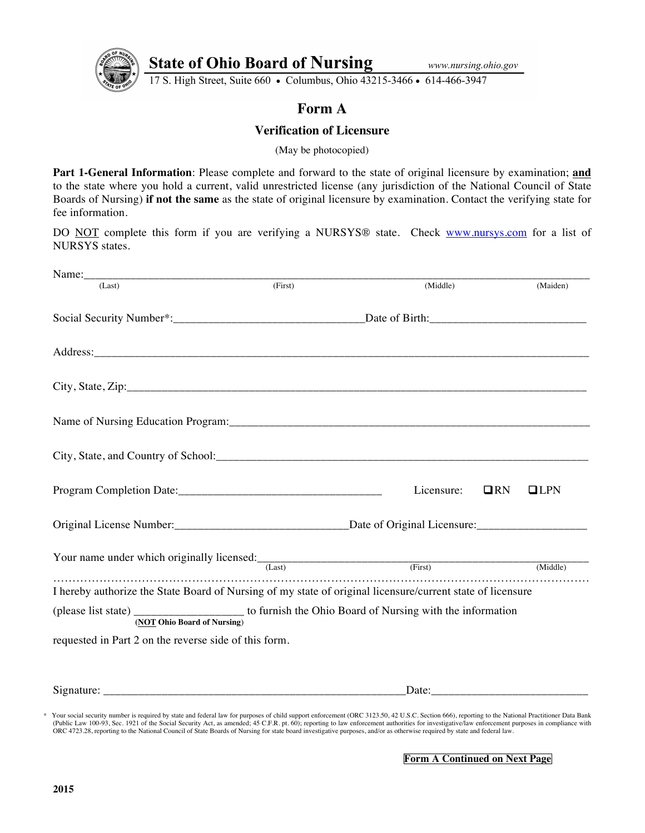

State of Ohio Board of Nursing www.nursing.org 17 S. High Street, Suite 660 . Columbus, Ohio 43215-3466 . 614-466-3947

## **Form A**

## **Verification of Licensure**

(May be photocopied)

**Part 1-General Information**: Please complete and forward to the state of original licensure by examination; **and** to the state where you hold a current, valid unrestricted license (any jurisdiction of the National Council of State Boards of Nursing) **if not the same** as the state of original licensure by examination. Contact the verifying state for fee information.

DO NOT complete this form if you are verifying a NURSYS® state. Check www.nursys.com for a list of NURSYS states.

| Name:                                                                                                                              |         |            |             |  |  |  |  |  |  |  |  |
|------------------------------------------------------------------------------------------------------------------------------------|---------|------------|-------------|--|--|--|--|--|--|--|--|
| (Last)                                                                                                                             | (First) | (Middle)   | (Maiden)    |  |  |  |  |  |  |  |  |
|                                                                                                                                    |         |            |             |  |  |  |  |  |  |  |  |
|                                                                                                                                    |         |            |             |  |  |  |  |  |  |  |  |
|                                                                                                                                    |         |            |             |  |  |  |  |  |  |  |  |
|                                                                                                                                    |         |            |             |  |  |  |  |  |  |  |  |
|                                                                                                                                    |         |            |             |  |  |  |  |  |  |  |  |
|                                                                                                                                    |         | Licensure: | QRN<br>CLPN |  |  |  |  |  |  |  |  |
|                                                                                                                                    |         |            |             |  |  |  |  |  |  |  |  |
| Your name under which originally licensed: (Last) (First) (First)                                                                  |         |            | (Middle)    |  |  |  |  |  |  |  |  |
| I hereby authorize the State Board of Nursing of my state of original licensure/current state of licensure                         |         |            |             |  |  |  |  |  |  |  |  |
| (please list state) _____________________ to furnish the Ohio Board of Nursing with the information<br>(NOT Ohio Board of Nursing) |         |            |             |  |  |  |  |  |  |  |  |
| requested in Part 2 on the reverse side of this form.                                                                              |         |            |             |  |  |  |  |  |  |  |  |
|                                                                                                                                    |         | Date:      |             |  |  |  |  |  |  |  |  |

\* Your social security number is required by state and federal law for purposes of child support enforcement (ORC 3123.50, 42 U.S.C. Section 666), reporting to the National Practitioner Data Bank (Public Law 100-93, Sec. 1921 of the Social Security Act, as amended; 45 C.F.R. pt. 60); reporting to law enforcement authorities for investigative/law enforcement purposes in compliance with ORC 4723.28, reporting to the National Council of State Boards of Nursing for state board investigative purposes, and/or as otherwise required by state and federal law.

**Form A Continued on Next Page**